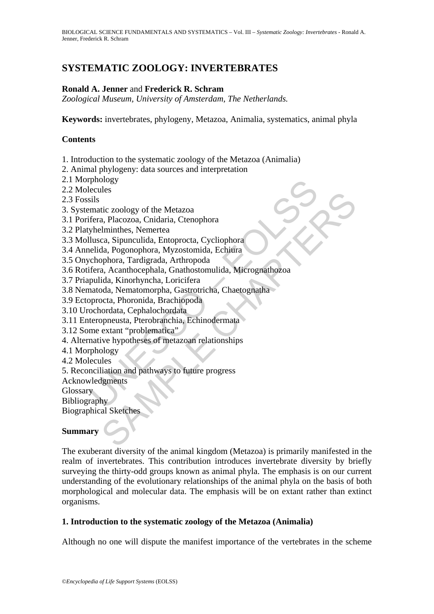# **SYSTEMATIC ZOOLOGY: INVERTEBRATES**

## **Ronald A. Jenner** and **Frederick R. Schram**

*Zoological Museum, University of Amsterdam, The Netherlands.* 

**Keywords:** invertebrates, phylogeny, Metazoa, Animalia, systematics, animal phyla

### **Contents**

1. Introduction to the systematic zoology of the Metazoa (Animalia)

2. Animal phylogeny: data sources and interpretation

- 2.1 Morphology
- 2.2 Molecules
- 2.3 Fossils
- 3. Systematic zoology of the Metazoa
- 3.1 Porifera, Placozoa, Cnidaria, Ctenophora
- 3.2 Platyhelminthes, Nemertea
- 3.3 Mollusca, Sipunculida, Entoprocta, Cycliophora
- 3.4 Annelida, Pogonophora, Myzostomida, Echiura
- 3.5 Onychophora, Tardigrada, Arthropoda
- phology<br>
ecules<br>
ecules<br>
sils<br>
sils<br>
sils<br>
sils<br>
sils<br>
sils<br>
sils<br>
sils<br>
sils<br>
sils<br>
sils<br>
sils<br>
sils<br>
sils<br>
chapgrophora, Nizosotomida, Echiphora<br>
cchophora, Tardigrada, Arthropoda<br>
fera, Acanthocephala, Grathopoda<br>
perca tic zoology of the Metazoa<br>
ic zoology of the Metazoa<br>
a, Placozoa, Chidaria, Ctenophora<br>
Elminthes, Nemertea<br>
ca, Sipunculida, Entoprocta, Cycliophora<br>
a, Acamthocephala, Ghathotomulida, Micrograthozoa<br>
a, Acamthocephala, 3.6 Rotifera, Acanthocephala, Gnathostomulida, Micrognathozoa
- 3.7 Priapulida, Kinorhyncha, Loricifera
- 3.8 Nematoda, Nematomorpha, Gastrotricha, Chaetognatha
- 3.9 Ectoprocta, Phoronida, Brachiopoda
- 3.10 Urochordata, Cephalochordata
- 3.11 Enteropneusta, Pterobranchia, Echinodermata
- 3.12 Some extant "problematica"
- 4. Alternative hypotheses of metazoan relationships
- 4.1 Morphology
- 4.2 Molecules
- 5. Reconciliation and pathways to future progress
- Acknowledgments

**Glossary** 

Bibliography

Biographical Sketches

### **Summary**

The exuberant diversity of the animal kingdom (Metazoa) is primarily manifested in the realm of invertebrates. This contribution introduces invertebrate diversity by briefly surveying the thirty-odd groups known as animal phyla. The emphasis is on our current understanding of the evolutionary relationships of the animal phyla on the basis of both morphological and molecular data. The emphasis will be on extant rather than extinct organisms.

### **1. Introduction to the systematic zoology of the Metazoa (Animalia)**

Although no one will dispute the manifest importance of the vertebrates in the scheme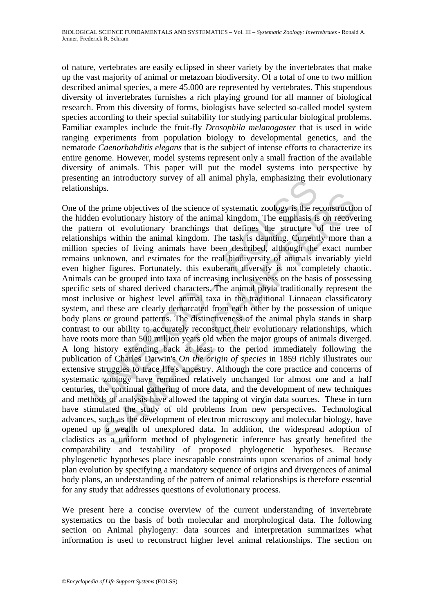of nature, vertebrates are easily eclipsed in sheer variety by the invertebrates that make up the vast majority of animal or metazoan biodiversity. Of a total of one to two million described animal species, a mere 45.000 are represented by vertebrates. This stupendous diversity of invertebrates furnishes a rich playing ground for all manner of biological research. From this diversity of forms, biologists have selected so-called model system species according to their special suitability for studying particular biological problems. Familiar examples include the fruit-fly *Drosophila melanogaster* that is used in wide ranging experiments from population biology to developmental genetics, and the nematode *Caenorhabditis elegans* that is the subject of intense efforts to characterize its entire genome. However, model systems represent only a small fraction of the available diversity of animals. This paper will put the model systems into perspective by presenting an introductory survey of all animal phyla, emphasizing their evolutionary relationships.

Ing an intoductory survey of an animal phyta, emphasizing the ships.<br>
Ships.<br>
the prime objectives of the science of systematic zoology is the relen<br>
evolutionary history of the animal kingdom. The emphasis is<br>
term of ev Final objectives of the science of systematic zoology is the reconstruction evolutionary history of the animal kingdom. The emphasis is on recover of evolutionary branchings that defines the structure of the tree ps withi One of the prime objectives of the science of systematic zoology is the reconstruction of the hidden evolutionary history of the animal kingdom. The emphasis is on recovering the pattern of evolutionary branchings that defines the structure of the tree of relationships within the animal kingdom. The task is daunting. Currently more than a million species of living animals have been described, although the exact number remains unknown, and estimates for the real biodiversity of animals invariably yield even higher figures. Fortunately, this exuberant diversity is not completely chaotic. Animals can be grouped into taxa of increasing inclusiveness on the basis of possessing specific sets of shared derived characters. The animal phyla traditionally represent the most inclusive or highest level animal taxa in the traditional Linnaean classificatory system, and these are clearly demarcated from each other by the possession of unique body plans or ground patterns. The distinctiveness of the animal phyla stands in sharp contrast to our ability to accurately reconstruct their evolutionary relationships, which have roots more than 500 million years old when the major groups of animals diverged. A long history extending back at least to the period immediately following the publication of Charles Darwin's *On the origin of species* in 1859 richly illustrates our extensive struggles to trace life's ancestry. Although the core practice and concerns of systematic zoology have remained relatively unchanged for almost one and a half centuries, the continual gathering of more data, and the development of new techniques and methods of analysis have allowed the tapping of virgin data sources. These in turn have stimulated the study of old problems from new perspectives. Technological advances, such as the development of electron microscopy and molecular biology, have opened up a wealth of unexplored data. In addition, the widespread adoption of cladistics as a uniform method of phylogenetic inference has greatly benefited the comparability and testability of proposed phylogenetic hypotheses. Because phylogenetic hypotheses place inescapable constraints upon scenarios of animal body plan evolution by specifying a mandatory sequence of origins and divergences of animal body plans, an understanding of the pattern of animal relationships is therefore essential for any study that addresses questions of evolutionary process.

We present here a concise overview of the current understanding of invertebrate systematics on the basis of both molecular and morphological data. The following section on Animal phylogeny: data sources and interpretation summarizes what information is used to reconstruct higher level animal relationships. The section on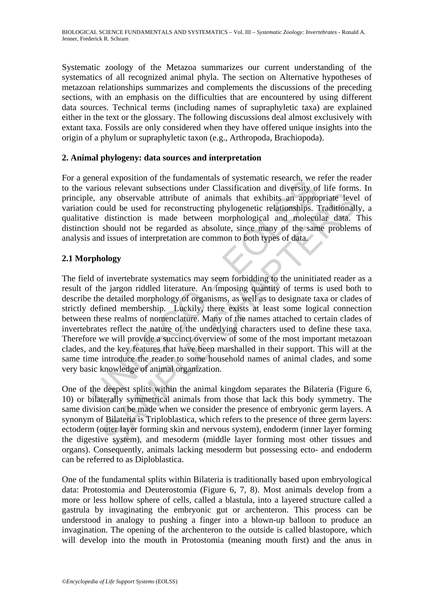Systematic zoology of the Metazoa summarizes our current understanding of the systematics of all recognized animal phyla. The section on Alternative hypotheses of metazoan relationships summarizes and complements the discussions of the preceding sections, with an emphasis on the difficulties that are encountered by using different data sources. Technical terms (including names of supraphyletic taxa) are explained either in the text or the glossary. The following discussions deal almost exclusively with extant taxa. Fossils are only considered when they have offered unique insights into the origin of a phylum or supraphyletic taxon (e.g., Arthropoda, Brachiopoda).

### **2. Animal phylogeny: data sources and interpretation**

For a general exposition of the fundamentals of systematic research, we refer the reader to the various relevant subsections under Classification and diversity of life forms. In principle, any observable attribute of animals that exhibits an appropriate level of variation could be used for reconstructing phylogenetic relationships. Traditionally, a qualitative distinction is made between morphological and molecular data. This distinction should not be regarded as absolute, since many of the same problems of analysis and issues of interpretation are common to both types of data.

### **2.1 Morphology**

Encial exposition of the intualmentals of systematic executi, we<br>carriots relevant subsections under Classification and diversity of<br>e, any observable attribute of animals that exhibits an appro<br>n could be used for reconst may observable attribute of animals that exhibits an appropriate leve<br>ould be used for reconstructing phylogenetic relationships. Traditionall<br>distinction is made between morphological and molecular data.<br>Should not be reg The field of invertebrate systematics may seem forbidding to the uninitiated reader as a result of the jargon riddled literature. An imposing quantity of terms is used both to describe the detailed morphology of organisms, as well as to designate taxa or clades of strictly defined membership. Luckily, there exists at least some logical connection between these realms of nomenclature. Many of the names attached to certain clades of invertebrates reflect the nature of the underlying characters used to define these taxa. Therefore we will provide a succinct overview of some of the most important metazoan clades, and the key features that have been marshalled in their support. This will at the same time introduce the reader to some household names of animal clades, and some very basic knowledge of animal organization.

One of the deepest splits within the animal kingdom separates the Bilateria (Figure 6, 10) or bilaterally symmetrical animals from those that lack this body symmetry. The same division can be made when we consider the presence of embryonic germ layers. A synonym of Bilateria is Triploblastica, which refers to the presence of three germ layers: ectoderm (outer layer forming skin and nervous system), endoderm (inner layer forming the digestive system), and mesoderm (middle layer forming most other tissues and organs). Consequently, animals lacking mesoderm but possessing ecto- and endoderm can be referred to as Diploblastica.

One of the fundamental splits within Bilateria is traditionally based upon embryological data: Protostomia and Deuterostomia (Figure 6, 7, 8). Most animals develop from a more or less hollow sphere of cells, called a blastula, into a layered structure called a gastrula by invaginating the embryonic gut or archenteron. This process can be understood in analogy to pushing a finger into a blown-up balloon to produce an invagination. The opening of the archenteron to the outside is called blastopore, which will develop into the mouth in Protostomia (meaning mouth first) and the anus in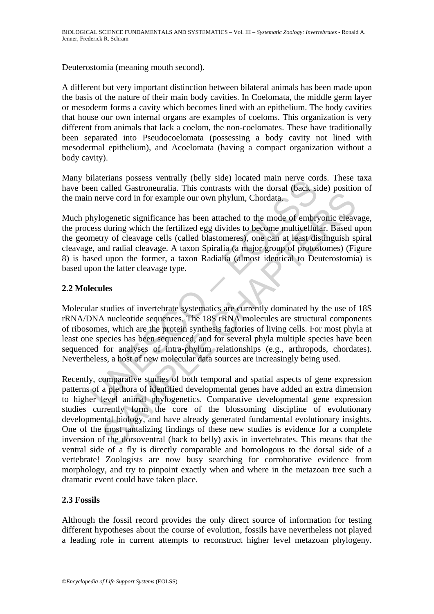Deuterostomia (meaning mouth second).

A different but very important distinction between bilateral animals has been made upon the basis of the nature of their main body cavities. In Coelomata, the middle germ layer or mesoderm forms a cavity which becomes lined with an epithelium. The body cavities that house our own internal organs are examples of coeloms. This organization is very different from animals that lack a coelom, the non-coelomates. These have traditionally been separated into Pseudocoelomata (possessing a body cavity not lined with mesodermal epithelium), and Acoelomata (having a compact organization without a body cavity).

Many bilaterians possess ventrally (belly side) located main nerve cords. These taxa have been called Gastroneuralia. This contrasts with the dorsal (back side) position of the main nerve cord in for example our own phylum, Chordata.

Much phylogenetic significance has been attached to the mode of embryonic cleavage, the process during which the fertilized egg divides to become multicellular. Based upon the geometry of cleavage cells (called blastomeres), one can at least distinguish spiral cleavage, and radial cleavage. A taxon Spiralia (a major group of protostomes) (Figure 8) is based upon the former, a taxon Radialia (almost identical to Deuterostomia) is based upon the latter cleavage type.

### **2.2 Molecules**

materials possess ventually (being such collated man flerive con-<br>en called Gastroneuralia. This contrasts with the dorsal (back si<br>n areve cord in for example our own phylum, Chordata<br>hylogenetic significance has been att Molecular studies of invertebrate systematics are currently dominated by the use of 18S rRNA/DNA nucleotide sequences. The 18S rRNA molecules are structural components of ribosomes, which are the protein synthesis factories of living cells. For most phyla at least one species has been sequenced, and for several phyla multiple species have been sequenced for analyses of intra-phylum relationships (e.g., arthropods, chordates). Nevertheless, a host of new molecular data sources are increasingly being used.

erve cord in for example our own phylum, Chordata.<br>
segenetic significance has been attached to the mode of embryonic cleav<br>
during which the fertilized egg divides to become multicellular. Based try<br>
of cleavage cells (ca Recently, comparative studies of both temporal and spatial aspects of gene expression patterns of a plethora of identified developmental genes have added an extra dimension to higher level animal phylogenetics. Comparative developmental gene expression studies currently form the core of the blossoming discipline of evolutionary developmental biology, and have already generated fundamental evolutionary insights. One of the most tantalizing findings of these new studies is evidence for a complete inversion of the dorsoventral (back to belly) axis in invertebrates. This means that the ventral side of a fly is directly comparable and homologous to the dorsal side of a vertebrate! Zoologists are now busy searching for corroborative evidence from morphology, and try to pinpoint exactly when and where in the metazoan tree such a dramatic event could have taken place.

### **2.3 Fossils**

Although the fossil record provides the only direct source of information for testing different hypotheses about the course of evolution, fossils have nevertheless not played a leading role in current attempts to reconstruct higher level metazoan phylogeny.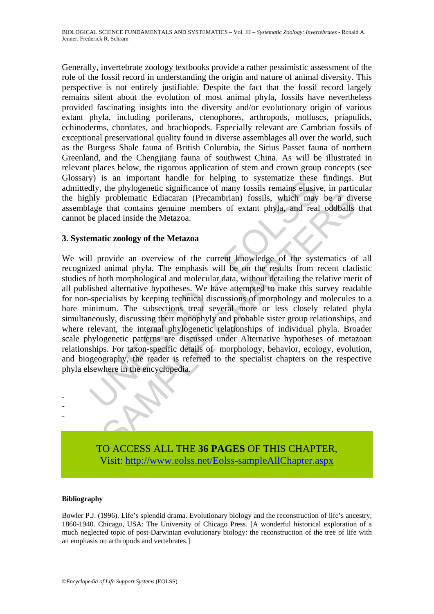Generally, invertebrate zoology textbooks provide a rather pessimistic assessment of the role of the fossil record in understanding the origin and nature of animal diversity. This perspective is not entirely justifiable. Despite the fact that the fossil record largely remains silent about the evolution of most animal phyla, fossils have nevertheless provided fascinating insights into the diversity and/or evolutionary origin of various extant phyla, including poriferans, ctenophores, arthropods, molluscs, priapulids, echinoderms, chordates, and brachiopods. Especially relevant are Cambrian fossils of exceptional preservational quality found in diverse assemblages all over the world, such as the Burgess Shale fauna of British Columbia, the Sirius Passet fauna of northern Greenland, and the Chengjiang fauna of southwest China. As will be illustrated in relevant places below, the rigorous application of stem and crown group concepts (see Glossary) is an important handle for helping to systematize these findings. But admittedly, the phylogenetic significance of many fossils remains elusive, in particular the highly problematic Ediacaran (Precambrian) fossils, which may be a diverse assemblage that contains genuine members of extant phyla, and real oddballs that cannot be placed inside the Metazoa.

#### **3. Systematic zoology of the Metazoa**

The amplydiant indict on length to suppressed the servent of the phylogenetic significance of many fossils remains eluse<br>hly, the phylogenetic significance of many fossils remains elusively problematic Ediacaran (Precambri problematic Ediacaran (Precambrian) fossils, which may be a divertion-<br>problematic Ediacaran (Precambrian) fossils, which may be a diverted transition and the Metazoa.<br>In the Metazoa.<br>This coology of the Metazoa<br>provide an We will provide an overview of the current knowledge of the systematics of all recognized animal phyla. The emphasis will be on the results from recent cladistic studies of both morphological and molecular data, without detailing the relative merit of all published alternative hypotheses. We have attempted to make this survey readable for non-specialists by keeping technical discussions of morphology and molecules to a bare minimum. The subsections treat several more or less closely related phyla simultaneously, discussing their monophyly and probable sister group relationships, and where relevant, the internal phylogenetic relationships of individual phyla. Broader scale phylogenetic patterns are discussed under Alternative hypotheses of metazoan relationships. For taxon-specific details of morphology, behavior, ecology, evolution, and biogeography, the reader is referred to the specialist chapters on the respective phyla elsewhere in the encyclopedia.



TO ACCESS ALL THE **36 PAGES** OF THIS CHAPTER, Visit[: http://www.eolss.net/Eolss-sampleAllChapter.aspx](https://www.eolss.net/ebooklib/sc_cart.aspx?File=E6-71-07)

#### **Bibliography**

Bowler P.J. (1996). Life's splendid drama. Evolutionary biology and the reconstruction of life's ancestry, 1860-1940. Chicago, USA: The University of Chicago Press. [A wonderful historical exploration of a much neglected topic of post-Darwinian evolutionary biology: the reconstruction of the tree of life with an emphasis on arthropods and vertebrates.]